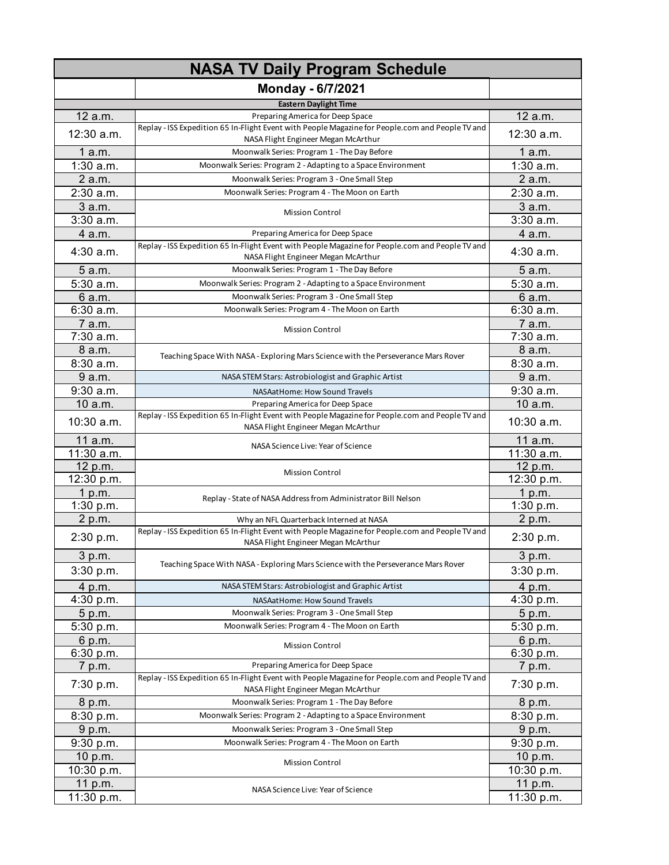| <b>NASA TV Daily Program Schedule</b> |                                                                                                                                         |                       |
|---------------------------------------|-----------------------------------------------------------------------------------------------------------------------------------------|-----------------------|
|                                       | Monday - 6/7/2021                                                                                                                       |                       |
|                                       | <b>Eastern Daylight Time</b>                                                                                                            |                       |
| 12 a.m.                               | Preparing America for Deep Space                                                                                                        | 12 a.m.               |
| 12:30 a.m.                            | Replay - ISS Expedition 65 In-Flight Event with People Magazine for People.com and People TV and<br>NASA Flight Engineer Megan McArthur | 12:30 a.m.            |
| 1a.m.                                 | Moonwalk Series: Program 1 - The Day Before                                                                                             | 1a.m.                 |
| $1:30$ a.m.                           | Moonwalk Series: Program 2 - Adapting to a Space Environment                                                                            | $1:30$ a.m.           |
| 2 a.m.                                | Moonwalk Series: Program 3 - One Small Step                                                                                             | 2 a.m.                |
| 2:30 a.m.                             | Moonwalk Series: Program 4 - The Moon on Earth                                                                                          | 2:30 a.m.             |
| 3 a.m.                                | <b>Mission Control</b>                                                                                                                  | 3 a.m.                |
| 3:30a.m.                              |                                                                                                                                         | 3:30a.m.              |
| 4 a.m.                                | Preparing America for Deep Space                                                                                                        | 4 a.m.                |
| 4:30 a.m.                             | Replay - ISS Expedition 65 In-Flight Event with People Magazine for People.com and People TV and<br>NASA Flight Engineer Megan McArthur | 4:30 a.m.             |
| 5 a.m.                                | Moonwalk Series: Program 1 - The Day Before                                                                                             | 5 a.m.                |
| 5:30 a.m.                             | Moonwalk Series: Program 2 - Adapting to a Space Environment                                                                            | 5:30 a.m.             |
| 6 a.m.                                | Moonwalk Series: Program 3 - One Small Step                                                                                             | 6 a.m.                |
| 6:30a.m.                              | Moonwalk Series: Program 4 - The Moon on Earth                                                                                          | 6:30 a.m.             |
| 7 a.m.                                | Mission Control                                                                                                                         | 7 a.m.                |
| 7:30 a.m.                             |                                                                                                                                         | 7:30 a.m.             |
| 8 a.m.                                | Teaching Space With NASA - Exploring Mars Science with the Perseverance Mars Rover                                                      | 8 a.m.                |
| 8:30 a.m.                             |                                                                                                                                         | 8:30 a.m.             |
| 9 a.m.                                | NASA STEM Stars: Astrobiologist and Graphic Artist                                                                                      | 9 a.m.                |
| 9:30 a.m.                             | NASAatHome: How Sound Travels                                                                                                           | 9:30 a.m.             |
| 10 a.m.                               | Preparing America for Deep Space                                                                                                        | 10 a.m.               |
| 10:30 a.m.                            | Replay - ISS Expedition 65 In-Flight Event with People Magazine for People.com and People TV and<br>NASA Flight Engineer Megan McArthur | 10:30 a.m.            |
| 11 a.m.<br>11:30 a.m.                 | NASA Science Live: Year of Science                                                                                                      | 11 a.m.<br>11:30 a.m. |
| 12 p.m.                               |                                                                                                                                         | 12 p.m.               |
| 12:30 p.m.                            | <b>Mission Control</b>                                                                                                                  | 12:30 p.m.            |
| 1 p.m.                                |                                                                                                                                         | 1 p.m.                |
| 1:30 p.m.                             | Replay - State of NASA Address from Administrator Bill Nelson                                                                           | 1:30 p.m.             |
| 2 p.m.                                | Why an NFL Quarterback Interned at NASA                                                                                                 | 2 p.m.                |
| 2:30 p.m.                             | Replay - ISS Expedition 65 In-Flight Event with People Magazine for People.com and People TV and<br>NASA Flight Engineer Megan McArthur | 2:30 p.m.             |
| 3 p.m.                                |                                                                                                                                         | 3 p.m.                |
| 3:30 p.m.                             | Teaching Space With NASA - Exploring Mars Science with the Perseverance Mars Rover                                                      | 3:30 p.m.             |
| 4 p.m.                                | NASA STEM Stars: Astrobiologist and Graphic Artist                                                                                      | 4 p.m.                |
| 4:30 p.m.                             | NASAatHome: How Sound Travels                                                                                                           | 4:30 p.m.             |
| 5 p.m.                                | Moonwalk Series: Program 3 - One Small Step                                                                                             | 5 p.m.                |
| 5:30 p.m.                             | Moonwalk Series: Program 4 - The Moon on Earth                                                                                          | 5:30 p.m.             |
| 6 p.m.                                | <b>Mission Control</b>                                                                                                                  | 6 p.m.                |
| 6:30 p.m.                             |                                                                                                                                         | 6:30 p.m.             |
| 7 p.m.                                | Preparing America for Deep Space                                                                                                        | 7 p.m.                |
| 7:30 p.m.                             | Replay - ISS Expedition 65 In-Flight Event with People Magazine for People.com and People TV and<br>NASA Flight Engineer Megan McArthur | 7:30 p.m.             |
| 8 p.m.                                | Moonwalk Series: Program 1 - The Day Before                                                                                             | 8 p.m.                |
| 8:30 p.m.                             | Moonwalk Series: Program 2 - Adapting to a Space Environment                                                                            | 8:30 p.m.             |
| 9 p.m.                                | Moonwalk Series: Program 3 - One Small Step                                                                                             | 9 p.m.                |
| 9:30 p.m.                             | Moonwalk Series: Program 4 - The Moon on Earth                                                                                          | 9:30 p.m.             |
| 10 p.m.                               | <b>Mission Control</b>                                                                                                                  | 10 p.m.               |
| 10:30 p.m.                            |                                                                                                                                         | 10:30 p.m.            |
| 11 p.m.                               | NASA Science Live: Year of Science                                                                                                      | 11 p.m.               |
| 11:30 p.m.                            |                                                                                                                                         | 11:30 p.m.            |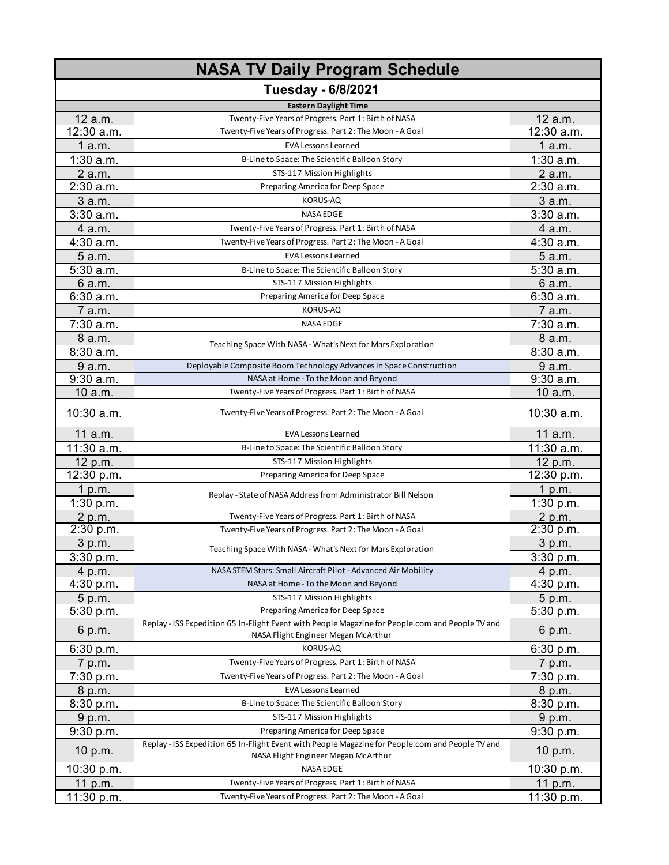| <b>NASA TV Daily Program Schedule</b> |                                                                                                                                         |             |
|---------------------------------------|-----------------------------------------------------------------------------------------------------------------------------------------|-------------|
|                                       | Tuesday - 6/8/2021                                                                                                                      |             |
|                                       | <b>Eastern Daylight Time</b>                                                                                                            |             |
| 12 a.m.                               | Twenty-Five Years of Progress. Part 1: Birth of NASA                                                                                    | 12 a.m.     |
| 12:30 a.m.                            | Twenty-Five Years of Progress. Part 2: The Moon - A Goal                                                                                | 12:30 a.m.  |
| 1a.m.                                 | <b>EVA Lessons Learned</b>                                                                                                              | 1a.m.       |
| $1:30$ a.m.                           | B-Line to Space: The Scientific Balloon Story                                                                                           | $1:30$ a.m. |
| 2 a.m.                                | STS-117 Mission Highlights                                                                                                              | 2 a.m.      |
| $2:30$ a.m.                           | Preparing America for Deep Space                                                                                                        | 2:30 a.m.   |
| 3 a.m.                                | KORUS-AQ                                                                                                                                | 3 a.m.      |
| $3:30$ a.m.                           | <b>NASA EDGE</b>                                                                                                                        | $3:30$ a.m. |
| 4 a.m.                                | Twenty-Five Years of Progress. Part 1: Birth of NASA                                                                                    | 4 a.m.      |
| 4:30 a.m.                             | Twenty-Five Years of Progress. Part 2: The Moon - A Goal                                                                                | 4:30 a.m.   |
| 5 a.m.                                | <b>EVA Lessons Learned</b>                                                                                                              | 5 a.m.      |
| 5:30 a.m.                             | B-Line to Space: The Scientific Balloon Story                                                                                           | 5:30 a.m.   |
| 6 a.m.                                | STS-117 Mission Highlights                                                                                                              | 6 a.m.      |
| 6:30 a.m.                             | Preparing America for Deep Space                                                                                                        | 6:30 a.m.   |
| 7 a.m.                                | KORUS-AQ                                                                                                                                | 7 a.m.      |
| 7:30 a.m.                             | <b>NASA EDGE</b>                                                                                                                        | 7:30 a.m.   |
|                                       |                                                                                                                                         |             |
| 8 a.m.                                | Teaching Space With NASA - What's Next for Mars Exploration                                                                             | 8 a.m.      |
| 8:30a.m.                              |                                                                                                                                         | 8:30 a.m.   |
| 9 a.m.                                | Deployable Composite Boom Technology Advances In Space Construction                                                                     | 9 a.m.      |
| 9:30 a.m.                             | NASA at Home - To the Moon and Beyond                                                                                                   | 9:30 a.m.   |
| 10 a.m.                               | Twenty-Five Years of Progress. Part 1: Birth of NASA                                                                                    | 10 a.m.     |
| 10:30 a.m.                            | Twenty-Five Years of Progress. Part 2: The Moon - A Goal                                                                                | 10:30 a.m.  |
| 11 a.m.                               | <b>EVA Lessons Learned</b>                                                                                                              | 11 a.m.     |
| 11:30 a.m.                            | B-Line to Space: The Scientific Balloon Story                                                                                           | 11:30 a.m.  |
| 12 p.m.                               | STS-117 Mission Highlights                                                                                                              | 12 p.m.     |
| 12:30 p.m.                            | Preparing America for Deep Space                                                                                                        | 12:30 p.m.  |
| 1 p.m.                                | Replay - State of NASA Address from Administrator Bill Nelson                                                                           | 1 p.m.      |
| 1:30 p.m.                             |                                                                                                                                         | 1:30 p.m.   |
| 2 p.m.                                | Twenty-Five Years of Progress. Part 1: Birth of NASA                                                                                    | 2 p.m.      |
| 2:30 p.m.                             | Twenty-Five Years of Progress. Part 2: The Moon - A Goal                                                                                | 2:30 p.m.   |
| 3 p.m.                                | Teaching Space With NASA - What's Next for Mars Exploration                                                                             | 3 p.m.      |
| 3:30 p.m.                             |                                                                                                                                         | 3:30 p.m.   |
| 4 p.m.                                | NASA STEM Stars: Small Aircraft Pilot - Advanced Air Mobility                                                                           | 4 p.m.      |
| 4:30 p.m.                             | NASA at Home - To the Moon and Beyond                                                                                                   | 4:30 p.m.   |
| 5 p.m.                                | STS-117 Mission Highlights                                                                                                              | 5 p.m.      |
| 5:30 p.m.                             | Preparing America for Deep Space                                                                                                        | 5:30 p.m.   |
| 6 p.m.                                | Replay - ISS Expedition 65 In-Flight Event with People Magazine for People.com and People TV and<br>NASA Flight Engineer Megan McArthur | 6 p.m.      |
| 6:30 p.m.                             | KORUS-AQ                                                                                                                                | 6:30 p.m.   |
| 7 p.m.                                | Twenty-Five Years of Progress. Part 1: Birth of NASA                                                                                    | 7 p.m.      |
| 7:30 p.m.                             | Twenty-Five Years of Progress. Part 2: The Moon - A Goal                                                                                | 7:30 p.m.   |
| 8 p.m.                                | <b>EVA Lessons Learned</b>                                                                                                              | 8 p.m.      |
| 8:30 p.m.                             | B-Line to Space: The Scientific Balloon Story                                                                                           | 8:30 p.m.   |
| 9 p.m.                                | STS-117 Mission Highlights                                                                                                              | 9 p.m.      |
| 9:30 p.m.                             | Preparing America for Deep Space                                                                                                        | 9:30 p.m.   |
|                                       | Replay - ISS Expedition 65 In-Flight Event with People Magazine for People.com and People TV and                                        |             |
| 10 p.m.                               | NASA Flight Engineer Megan McArthur                                                                                                     | 10 p.m.     |
| 10:30 p.m.                            | NASA EDGE                                                                                                                               | 10:30 p.m.  |
| 11 p.m.                               | Twenty-Five Years of Progress. Part 1: Birth of NASA                                                                                    | 11 p.m.     |
| 11:30 p.m.                            | Twenty-Five Years of Progress. Part 2: The Moon - A Goal                                                                                | 11:30 p.m.  |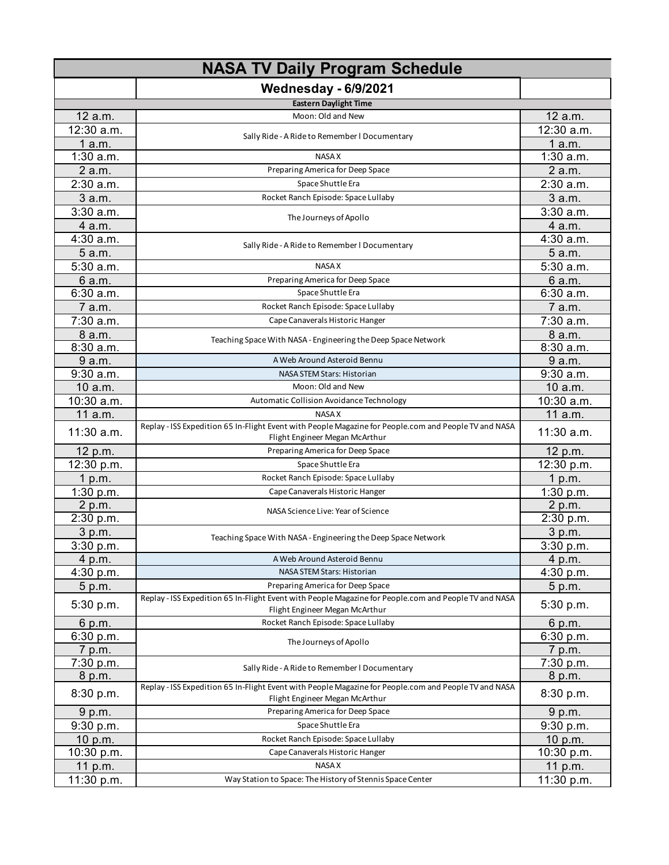| <b>NASA TV Daily Program Schedule</b> |                                                                                                                                         |              |
|---------------------------------------|-----------------------------------------------------------------------------------------------------------------------------------------|--------------|
|                                       | <b>Wednesday - 6/9/2021</b>                                                                                                             |              |
|                                       | <b>Eastern Daylight Time</b>                                                                                                            |              |
| 12 a.m.                               | Moon: Old and New                                                                                                                       | 12 a.m.      |
| 12:30 a.m.                            |                                                                                                                                         | 12:30 a.m.   |
| 1 a.m.                                | Sally Ride - A Ride to Remember I Documentary                                                                                           | 1 a.m.       |
| $1:30$ a.m.                           | <b>NASA X</b>                                                                                                                           | $1:30$ a.m.  |
| 2 a.m.                                | Preparing America for Deep Space                                                                                                        | 2 a.m.       |
| $2:30$ a.m.                           | Space Shuttle Era                                                                                                                       | $2:30$ a.m.  |
| 3 a.m.                                | Rocket Ranch Episode: Space Lullaby                                                                                                     | 3 a.m.       |
| 3:30a.m.                              |                                                                                                                                         | 3:30a.m.     |
| 4 a.m.                                | The Journeys of Apollo                                                                                                                  | 4 a.m.       |
| 4:30 a.m.                             |                                                                                                                                         | 4:30 a.m.    |
| 5 a.m.                                | Sally Ride - A Ride to Remember I Documentary                                                                                           | 5 a.m.       |
| 5:30 a.m.                             | <b>NASA X</b>                                                                                                                           | 5:30 a.m.    |
| 6 a.m.                                | Preparing America for Deep Space                                                                                                        | 6 a.m.       |
| 6:30 a.m.                             | Space Shuttle Era                                                                                                                       | 6:30a.m.     |
| 7 a.m.                                | Rocket Ranch Episode: Space Lullaby                                                                                                     | 7 a.m.       |
| 7:30 a.m.                             | Cape Canaverals Historic Hanger                                                                                                         | 7:30 a.m.    |
| 8 a.m.                                |                                                                                                                                         | 8 a.m.       |
| 8:30 a.m.                             | Teaching Space With NASA - Engineering the Deep Space Network                                                                           | 8:30 a.m.    |
| 9 a.m.                                | A Web Around Asteroid Bennu                                                                                                             | 9 a.m.       |
| 9:30 a.m.                             | NASA STEM Stars: Historian                                                                                                              | 9:30a.m.     |
| 10 a.m.                               | Moon: Old and New                                                                                                                       | 10 a.m.      |
| 10:30 a.m.                            | Automatic Collision Avoidance Technology                                                                                                | 10:30 a.m.   |
| 11 a.m.                               | <b>NASA X</b>                                                                                                                           | 11 a.m.      |
| 11:30 a.m.                            | Replay - ISS Expedition 65 In-Flight Event with People Magazine for People.com and People TV and NASA<br>Flight Engineer Megan McArthur | $11:30$ a.m. |
| 12 p.m.                               | Preparing America for Deep Space                                                                                                        | 12 p.m.      |
| 12:30 p.m.                            | Space Shuttle Era                                                                                                                       | 12:30 p.m.   |
| 1 p.m.                                | Rocket Ranch Episode: Space Lullaby                                                                                                     | 1 p.m.       |
| 1:30 p.m.                             | Cape Canaverals Historic Hanger                                                                                                         | 1:30 p.m.    |
| 2 p.m.                                | NASA Science Live: Year of Science                                                                                                      | 2 p.m.       |
| 2:30 p.m.                             |                                                                                                                                         | 2:30 p.m.    |
| 3 p.m.                                | Teaching Space With NASA - Engineering the Deep Space Network                                                                           | 3 p.m.       |
| 3:30 p.m.                             |                                                                                                                                         | 3:30 p.m.    |
| 4 p.m.                                | A Web Around Asteroid Bennu                                                                                                             | 4 p.m.       |
| 4:30 p.m.                             | NASA STEM Stars: Historian                                                                                                              | 4:30 p.m.    |
| 5 p.m.                                | Preparing America for Deep Space                                                                                                        | 5 p.m.       |
| 5:30 p.m.                             | Replay - ISS Expedition 65 In-Flight Event with People Magazine for People.com and People TV and NASA<br>Flight Engineer Megan McArthur | 5:30 p.m.    |
| 6 p.m.                                | Rocket Ranch Episode: Space Lullaby                                                                                                     | 6 p.m.       |
| 6:30 p.m.                             | The Journeys of Apollo                                                                                                                  | 6:30 p.m.    |
| 7 p.m.                                |                                                                                                                                         | 7 p.m.       |
| 7:30 p.m.                             | Sally Ride - A Ride to Remember I Documentary                                                                                           | 7:30 p.m.    |
| 8 p.m.                                |                                                                                                                                         | 8 p.m.       |
| 8:30 p.m.                             | Replay - ISS Expedition 65 In-Flight Event with People Magazine for People.com and People TV and NASA<br>Flight Engineer Megan McArthur | 8:30 p.m.    |
| 9 p.m.                                | Preparing America for Deep Space                                                                                                        | 9 p.m.       |
| 9:30 p.m.                             | Space Shuttle Era                                                                                                                       | 9:30 p.m.    |
| 10 p.m.                               | Rocket Ranch Episode: Space Lullaby                                                                                                     | 10 p.m.      |
| 10:30 p.m.                            | Cape Canaverals Historic Hanger                                                                                                         | 10:30 p.m.   |
| 11 p.m.                               | <b>NASA X</b>                                                                                                                           | 11 p.m.      |
| 11:30 p.m.                            | Way Station to Space: The History of Stennis Space Center                                                                               | 11:30 p.m.   |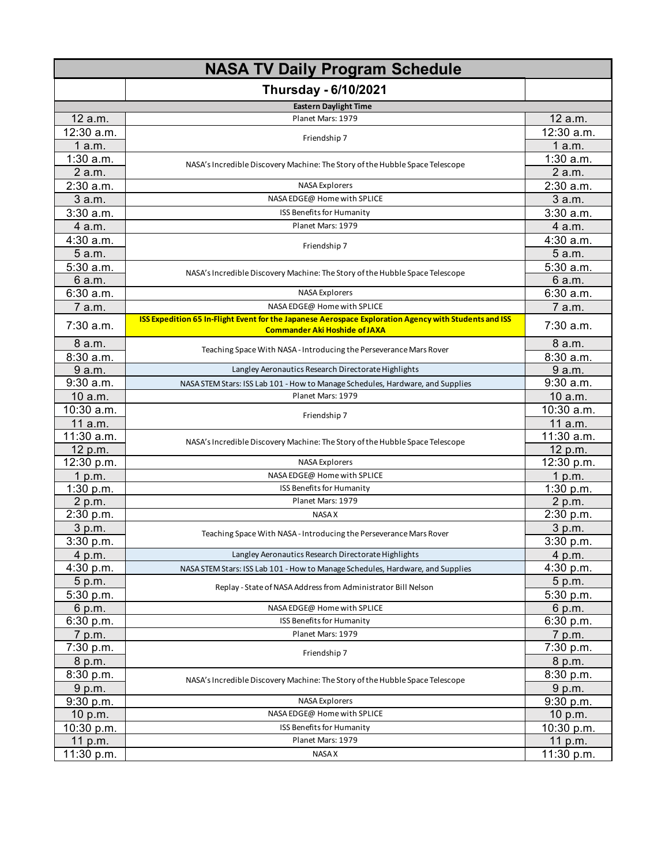| <b>NASA TV Daily Program Schedule</b> |                                                                                                                                               |                       |
|---------------------------------------|-----------------------------------------------------------------------------------------------------------------------------------------------|-----------------------|
|                                       | <b>Thursday - 6/10/2021</b>                                                                                                                   |                       |
|                                       | <b>Eastern Daylight Time</b>                                                                                                                  |                       |
| 12 a.m.                               | Planet Mars: 1979                                                                                                                             | 12 a.m.               |
| 12:30 a.m.                            | Friendship 7                                                                                                                                  | 12:30 a.m.            |
| 1a.m.                                 |                                                                                                                                               | 1a.m.                 |
| 1:30 a.m.                             |                                                                                                                                               | 1:30 a.m.             |
| 2 a.m.                                | NASA's Incredible Discovery Machine: The Story of the Hubble Space Telescope                                                                  | 2 a.m.                |
| 2:30 a.m.                             | <b>NASA Explorers</b>                                                                                                                         | 2:30 a.m.             |
| 3 a.m.                                | NASA EDGE@ Home with SPLICE                                                                                                                   | 3 a.m.                |
| 3:30a.m.                              | ISS Benefits for Humanity                                                                                                                     | $3:30$ a.m.           |
| 4 a.m.                                | Planet Mars: 1979                                                                                                                             | 4 a.m.                |
| 4:30 a.m.                             |                                                                                                                                               | 4:30 a.m.             |
| 5 a.m.                                | Friendship 7                                                                                                                                  | 5 a.m.                |
| 5:30 a.m.                             | NASA's Incredible Discovery Machine: The Story of the Hubble Space Telescope                                                                  | 5:30 a.m.             |
| 6 a.m.                                |                                                                                                                                               | 6 a.m.                |
| 6:30 a.m.                             | <b>NASA Explorers</b>                                                                                                                         | 6:30 a.m.             |
| 7 a.m.                                | NASA EDGE@ Home with SPLICE                                                                                                                   | 7 a.m.                |
| 7:30 a.m.                             | ISS Expedition 65 In-Flight Event for the Japanese Aerospace Exploration Agency with Students and ISS<br><b>Commander Aki Hoshide of JAXA</b> | 7:30 a.m.             |
| 8 a.m.                                | Teaching Space With NASA - Introducing the Perseverance Mars Rover                                                                            | 8 a.m.                |
| 8:30 a.m.                             |                                                                                                                                               | 8:30 a.m.             |
| 9 a.m.                                | Langley Aeronautics Research Directorate Highlights                                                                                           | 9 a.m.                |
| 9:30 a.m.                             | NASA STEM Stars: ISS Lab 101 - How to Manage Schedules, Hardware, and Supplies                                                                | 9:30 a.m.             |
| 10a.m.                                | Planet Mars: 1979                                                                                                                             | 10 a.m.               |
| 10:30 a.m.                            | Friendship 7                                                                                                                                  | 10:30 a.m.            |
| 11 a.m.                               |                                                                                                                                               | 11 a.m.               |
| 11:30 a.m.                            | NASA's Incredible Discovery Machine: The Story of the Hubble Space Telescope                                                                  | 11:30 a.m.            |
| 12 p.m.                               |                                                                                                                                               | 12 p.m.               |
| 12:30 p.m.                            | <b>NASA Explorers</b>                                                                                                                         | 12:30 p.m.            |
| 1 p.m.                                | NASA EDGE@ Home with SPLICE                                                                                                                   | 1 p.m.                |
| 1:30 p.m.                             | ISS Benefits for Humanity                                                                                                                     | $1:30$ p.m.           |
| 2 p.m.<br>2:30 p.m.                   | Planet Mars: 1979<br><b>NASA X</b>                                                                                                            | 2 p.m.<br>$2:30$ p.m. |
| 3 p.m.                                |                                                                                                                                               | 3 p.m.                |
| 3:30 p.m.                             | Teaching Space With NASA - Introducing the Perseverance Mars Rover                                                                            | 3:30 p.m.             |
| 4 p.m.                                | Langley Aeronautics Research Directorate Highlights                                                                                           | 4 p.m.                |
| 4:30 p.m.                             | NASA STEM Stars: ISS Lab 101 - How to Manage Schedules, Hardware, and Supplies                                                                | 4:30 p.m.             |
| 5 p.m.                                |                                                                                                                                               | 5 p.m.                |
| 5:30 p.m.                             | Replay - State of NASA Address from Administrator Bill Nelson                                                                                 | 5:30 p.m.             |
| 6 p.m.                                | NASA EDGE@ Home with SPLICE                                                                                                                   | 6 p.m.                |
| 6:30 p.m.                             | ISS Benefits for Humanity                                                                                                                     | 6:30 p.m.             |
| 7 p.m.                                | Planet Mars: 1979                                                                                                                             | 7 p.m.                |
| 7:30 p.m.                             |                                                                                                                                               | 7:30 p.m.             |
| 8 p.m.                                | Friendship 7                                                                                                                                  | 8 p.m.                |
| 8:30 p.m.                             |                                                                                                                                               | 8:30 p.m.             |
| 9 p.m.                                | NASA's Incredible Discovery Machine: The Story of the Hubble Space Telescope                                                                  | 9 p.m.                |
| 9:30 p.m.                             | <b>NASA Explorers</b>                                                                                                                         | 9:30 p.m.             |
| 10 $p.m.$                             | NASA EDGE@ Home with SPLICE                                                                                                                   | 10 p.m.               |
| 10:30 p.m.                            | ISS Benefits for Humanity                                                                                                                     | 10:30 p.m.            |
| 11 p.m.                               | Planet Mars: 1979                                                                                                                             | 11 p.m.               |
| 11:30 p.m.                            | NASA X                                                                                                                                        | 11:30 p.m.            |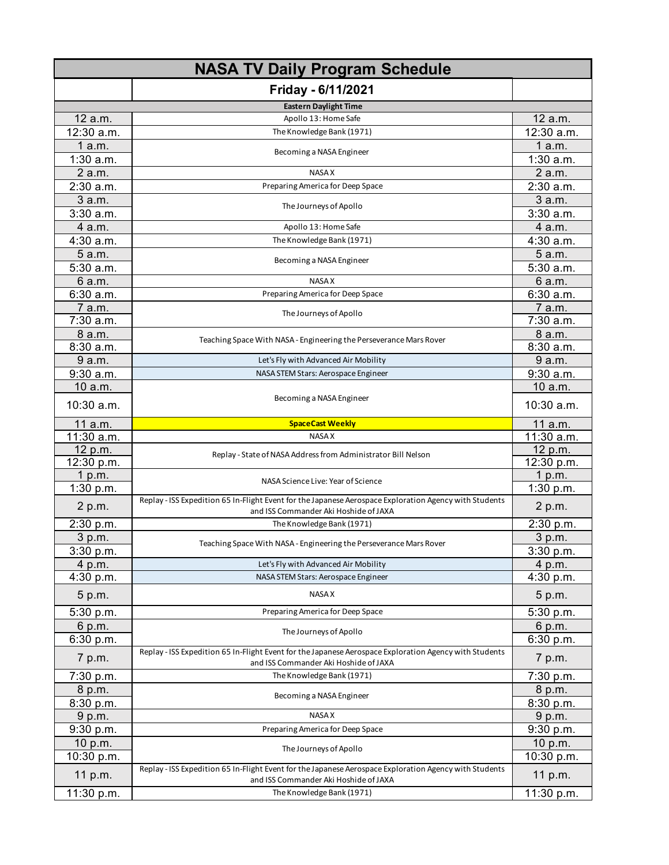| <b>NASA TV Daily Program Schedule</b> |                                                                                                                                                 |              |
|---------------------------------------|-------------------------------------------------------------------------------------------------------------------------------------------------|--------------|
|                                       | Friday - 6/11/2021                                                                                                                              |              |
|                                       | <b>Eastern Daylight Time</b>                                                                                                                    |              |
| 12 a.m.                               | Apollo 13: Home Safe                                                                                                                            | 12 a.m.      |
| 12:30 a.m.                            | The Knowledge Bank (1971)                                                                                                                       | 12:30 a.m.   |
| 1 a.m.                                |                                                                                                                                                 | 1 a.m.       |
| $1:30$ a.m.                           | Becoming a NASA Engineer                                                                                                                        | $1:30$ a.m.  |
| 2 a.m.                                | <b>NASAX</b>                                                                                                                                    | 2 a.m.       |
| 2:30 a.m.                             | Preparing America for Deep Space                                                                                                                | 2:30 a.m.    |
| 3 a.m.                                |                                                                                                                                                 | 3 a.m.       |
| $3:30$ a.m.                           | The Journeys of Apollo                                                                                                                          | $3:30$ a.m.  |
| 4 a.m.                                | Apollo 13: Home Safe                                                                                                                            | 4 a.m.       |
| 4:30 a.m.                             | The Knowledge Bank (1971)                                                                                                                       | 4:30 a.m.    |
| 5 a.m.                                |                                                                                                                                                 | 5 a.m.       |
| 5:30 a.m.                             | Becoming a NASA Engineer                                                                                                                        | 5:30 a.m.    |
| 6 a.m.                                | <b>NASAX</b>                                                                                                                                    | 6 a.m.       |
| 6:30a.m.                              | Preparing America for Deep Space                                                                                                                | 6:30a.m.     |
| 7 a.m.                                |                                                                                                                                                 | 7 a.m.       |
| 7:30 a.m.                             | The Journeys of Apollo                                                                                                                          | 7:30 a.m.    |
| 8 a.m.                                |                                                                                                                                                 | 8 a.m.       |
| 8:30a.m.                              | Teaching Space With NASA - Engineering the Perseverance Mars Rover                                                                              | 8:30 a.m.    |
| 9 a.m.                                | Let's Fly with Advanced Air Mobility                                                                                                            | 9 a.m.       |
| 9:30 a.m.                             | NASA STEM Stars: Aerospace Engineer                                                                                                             | 9:30 a.m.    |
| 10 a.m.                               |                                                                                                                                                 | 10 a.m.      |
| 10:30 a.m.                            | Becoming a NASA Engineer                                                                                                                        | 10:30 a.m.   |
| 11 a.m.                               | <b>SpaceCast Weekly</b>                                                                                                                         | 11 a.m.      |
| 11:30 a.m.                            | <b>NASA X</b>                                                                                                                                   | $11:30$ a.m. |
| 12 p.m.                               | Replay - State of NASA Address from Administrator Bill Nelson                                                                                   | 12 p.m.      |
| 12:30 p.m.                            |                                                                                                                                                 | 12:30 p.m.   |
| 1 p.m.                                | NASA Science Live: Year of Science                                                                                                              | 1 p.m.       |
| 1:30 p.m.                             |                                                                                                                                                 | 1:30 p.m.    |
| 2 p.m.                                | Replay - ISS Expedition 65 In-Flight Event for the Japanese Aerospace Exploration Agency with Students<br>and ISS Commander Aki Hoshide of JAXA | 2 p.m.       |
| 2:30 p.m.                             | The Knowledge Bank (1971)                                                                                                                       | 2:30 p.m.    |
| 3 p.m.                                | Teaching Space With NASA - Engineering the Perseverance Mars Rover                                                                              | 3 p.m.       |
| $3:30$ p.m.                           |                                                                                                                                                 | 3:30 p.m.    |
| 4 p.m.                                | Let's Fly with Advanced Air Mobility                                                                                                            | 4 p.m.       |
| 4:30 p.m.                             | NASA STEM Stars: Aerospace Engineer                                                                                                             | 4:30 p.m.    |
| 5 p.m.                                | <b>NASAX</b>                                                                                                                                    | 5 p.m.       |
| 5:30 p.m.                             | Preparing America for Deep Space                                                                                                                | 5:30 p.m.    |
| 6 p.m.                                | The Journeys of Apollo                                                                                                                          | 6 p.m.       |
| 6:30 p.m.                             |                                                                                                                                                 | 6:30 p.m.    |
| 7 p.m.                                | Replay - ISS Expedition 65 In-Flight Event for the Japanese Aerospace Exploration Agency with Students<br>and ISS Commander Aki Hoshide of JAXA | 7 p.m.       |
| 7:30 p.m.                             | The Knowledge Bank (1971)                                                                                                                       | 7:30 p.m.    |
| 8 p.m.                                |                                                                                                                                                 | 8 p.m.       |
| 8:30 p.m.                             | Becoming a NASA Engineer                                                                                                                        | 8:30 p.m.    |
| 9 p.m.                                | <b>NASA X</b>                                                                                                                                   | 9 p.m.       |
| 9:30 p.m.                             | Preparing America for Deep Space                                                                                                                | 9:30 p.m.    |
| 10 p.m.                               |                                                                                                                                                 | 10 p.m.      |
| 10:30 p.m.                            | The Journeys of Apollo                                                                                                                          | 10:30 p.m.   |
| 11 p.m.                               | Replay - ISS Expedition 65 In-Flight Event for the Japanese Aerospace Exploration Agency with Students<br>and ISS Commander Aki Hoshide of JAXA | 11 p.m.      |
| 11:30 p.m.                            | The Knowledge Bank (1971)                                                                                                                       | 11:30 p.m.   |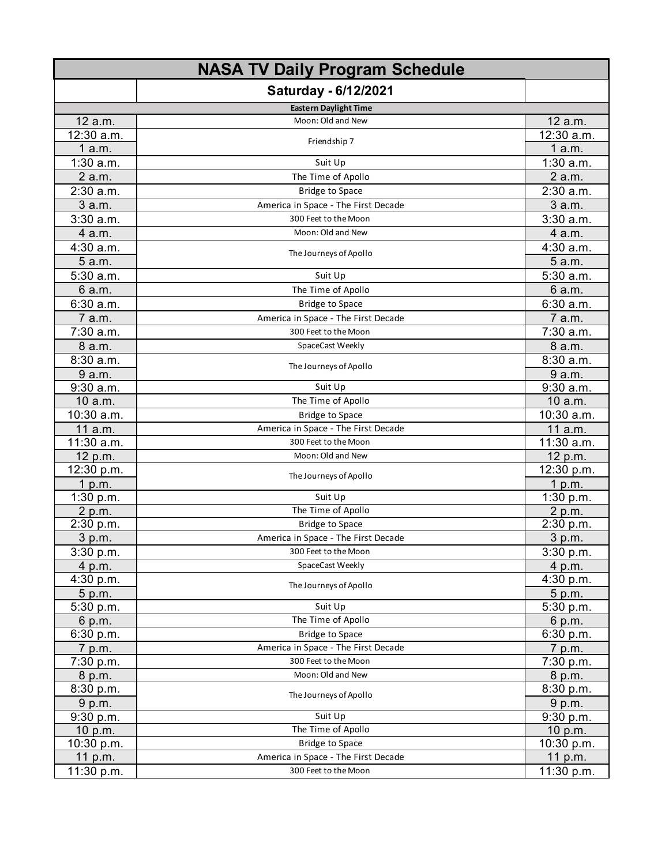| <b>NASA TV Daily Program Schedule</b> |                                     |                       |
|---------------------------------------|-------------------------------------|-----------------------|
|                                       | <b>Saturday - 6/12/2021</b>         |                       |
|                                       | <b>Eastern Daylight Time</b>        |                       |
| 12 a.m.                               | Moon: Old and New                   | 12 a.m.               |
| 12:30 a.m.                            |                                     | $12:30$ a.m.          |
| 1 a.m.                                | Friendship 7                        | 1a.m.                 |
| $1:30$ a.m.                           | Suit Up                             | $1:30$ a.m.           |
| 2 a.m.                                | The Time of Apollo                  | 2 a.m.                |
| 2:30 a.m.                             | <b>Bridge to Space</b>              | $2:30$ a.m.           |
| 3 a.m.                                | America in Space - The First Decade | 3 a.m.                |
| 3:30a.m.                              | 300 Feet to the Moon                | $3:30$ a.m.           |
| 4 a.m.                                | Moon: Old and New                   | 4 a.m.                |
| 4:30 a.m.                             |                                     | 4:30 a.m.             |
| 5 a.m.                                | The Journeys of Apollo              | 5 a.m.                |
| $5:30$ a.m.                           | Suit Up                             | 5:30 a.m.             |
| 6 a.m.                                | The Time of Apollo                  | 6 a.m.                |
| 6:30a.m.                              | <b>Bridge to Space</b>              | 6:30 a.m.             |
| 7 a.m.                                | America in Space - The First Decade | 7 a.m.                |
| 7:30 a.m.                             | 300 Feet to the Moon                | 7:30 a.m.             |
| 8 a.m.                                | SpaceCast Weekly                    | 8 a.m.                |
| 8:30 a.m.                             |                                     | 8:30 a.m.             |
| 9 a.m.                                | The Journeys of Apollo              | 9 a.m.                |
| 9:30 a.m.                             | Suit Up                             | 9:30 a.m.             |
| 10 a.m.                               | The Time of Apollo                  | 10 a.m.               |
| 10:30 a.m.                            | <b>Bridge to Space</b>              | 10:30 a.m.            |
| 11 a.m.                               | America in Space - The First Decade | 11 a.m.               |
| 11:30 a.m.                            | 300 Feet to the Moon                | 11:30 a.m.            |
| 12 p.m.                               | Moon: Old and New                   | 12 p.m.               |
| 12:30 p.m.                            | The Journeys of Apollo              | 12:30 p.m.            |
| 1 p.m.                                |                                     | 1 p.m.                |
| 1:30 p.m.                             | Suit Up                             | 1:30 p.m.             |
| 2 p.m.                                | The Time of Apollo                  | 2 p.m.                |
| 2:30 p.m.                             | <b>Bridge to Space</b>              | 2:30 p.m.             |
| 3 p.m.                                | America in Space - The First Decade | 3 p.m.                |
| 3:30 p.m.                             | 300 Feet to the Moon                | 3:30 p.m.             |
| 4 p.m.                                | SpaceCast Weekly                    | 4 p.m.                |
| 4:30 p.m.                             | The Journeys of Apollo              | 4:30 p.m.             |
| 5 p.m.                                |                                     | 5 p.m.                |
| 5:30 p.m.                             | Suit Up                             | 5:30 p.m.             |
| 6 p.m.                                | The Time of Apollo                  | 6 p.m.                |
| 6:30 p.m.                             | <b>Bridge to Space</b>              | 6:30 p.m.             |
| 7 p.m.                                | America in Space - The First Decade | 7 p.m.                |
| 7:30 p.m.                             | 300 Feet to the Moon                | 7:30 p.m.             |
| 8 p.m.                                | Moon: Old and New                   | 8 p.m.                |
| 8:30 p.m.                             | The Journeys of Apollo              | 8:30 p.m.             |
| 9 p.m.                                |                                     | 9 p.m.                |
| 9:30 p.m.                             | Suit Up<br>The Time of Apollo       | 9:30 p.m.             |
| 10 p.m.<br>10:30 p.m.                 | <b>Bridge to Space</b>              | 10 p.m.<br>10:30 p.m. |
| 11 p.m.                               | America in Space - The First Decade | 11 p.m.               |
| 11:30 p.m.                            | 300 Feet to the Moon                | 11:30 p.m.            |
|                                       |                                     |                       |